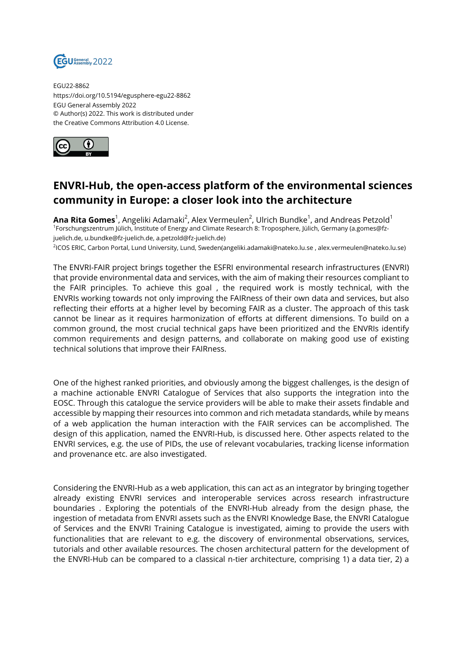

EGU22-8862 https://doi.org/10.5194/egusphere-egu22-8862 EGU General Assembly 2022 © Author(s) 2022. This work is distributed under the Creative Commons Attribution 4.0 License.



## **ENVRI-Hub, the open-access platform of the environmental sciences community in Europe: a closer look into the architecture**

**Ana Rita Gomes** $^1$ , Angeliki Adamaki $^2$ , Alex Vermeulen $^2$ , Ulrich Bundke $^1$ , and Andreas Petzold $^1$ 1 Forschungszentrum Jülich, Institute of Energy and Climate Research 8: Troposphere, Jülich, Germany (a.gomes@fzjuelich.de, u.bundke@fz-juelich.de, a.petzold@fz-juelich.de)

2 ICOS ERIC, Carbon Portal, Lund University, Lund, Sweden(angeliki.adamaki@nateko.lu.se , alex.vermeulen@nateko.lu.se)

The ENVRI-FAIR project brings together the ESFRI environmental research infrastructures (ENVRI) that provide environmental data and services, with the aim of making their resources compliant to the FAIR principles. To achieve this goal , the required work is mostly technical, with the ENVRIs working towards not only improving the FAIRness of their own data and services, but also reflecting their efforts at a higher level by becoming FAIR as a cluster. The approach of this task cannot be linear as it requires harmonization of efforts at different dimensions. To build on a common ground, the most crucial technical gaps have been prioritized and the ENVRIs identify common requirements and design patterns, and collaborate on making good use of existing technical solutions that improve their FAIRness.

One of the highest ranked priorities, and obviously among the biggest challenges, is the design of a machine actionable ENVRI Catalogue of Services that also supports the integration into the EOSC. Through this catalogue the service providers will be able to make their assets findable and accessible by mapping their resources into common and rich metadata standards, while by means of a web application the human interaction with the FAIR services can be accomplished. The design of this application, named the ENVRI-Hub, is discussed here. Other aspects related to the ENVRI services, e.g. the use of PIDs, the use of relevant vocabularies, tracking license information and provenance etc. are also investigated.

Considering the ENVRI-Hub as a web application, this can act as an integrator by bringing together already existing ENVRI services and interoperable services across research infrastructure boundaries . Exploring the potentials of the ENVRI-Hub already from the design phase, the ingestion of metadata from ENVRI assets such as the ENVRI Knowledge Base, the ENVRI Catalogue of Services and the ENVRI Training Catalogue is investigated, aiming to provide the users with functionalities that are relevant to e.g. the discovery of environmental observations, services, tutorials and other available resources. The chosen architectural pattern for the development of the ENVRI-Hub can be compared to a classical n-tier architecture, comprising 1) a data tier, 2) a